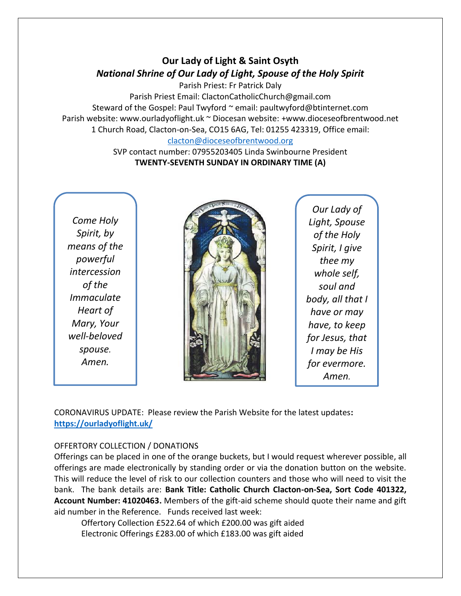# **Our Lady of Light & Saint Osyth** *National Shrine of Our Lady of Light, Spouse of the Holy Spirit*

Parish Priest: Fr Patrick Daly Parish Priest Email: ClactonCatholicChurch@gmail.com Steward of the Gospel: Paul Twyford ~ email: paultwyford@btinternet.com Parish website: www.ourladyoflight.uk ~ Diocesan website: +www.dioceseofbrentwood.net 1 Church Road, Clacton-on-Sea, CO15 6AG, Tel: 01255 423319, Office email: [clacton@dioceseofbrentwood.org](mailto:clacton@dioceseofbrentwood.org)

> SVP contact number: 07955203405 Linda Swinbourne President **TWENTY-SEVENTH SUNDAY IN ORDINARY TIME (A)**

*Come Holy Spirit, by means of the powerful intercession of the Immaculate Heart of Mary, Your well-beloved spouse. Amen.*



*Our Lady of Light, Spouse of the Holy Spirit, I give thee my whole self, soul and body, all that I have or may have, to keep for Jesus, that I may be His for evermore. Amen.*

CORONAVIRUS UPDATE: Please review the Parish Website for the latest updates**: <https://ourladyoflight.uk/>**

### OFFERTORY COLLECTION / DONATIONS

Offerings can be placed in one of the orange buckets, but I would request wherever possible, all offerings are made electronically by standing order or via the donation button on the website. This will reduce the level of risk to our collection counters and those who will need to visit the bank. The bank details are: **Bank Title: Catholic Church Clacton-on-Sea, Sort Code 401322, Account Number: 41020463.** Members of the gift-aid scheme should quote their name and gift aid number in the Reference. Funds received last week:

Offertory Collection £522.64 of which £200.00 was gift aided Electronic Offerings £283.00 of which £183.00 was gift aided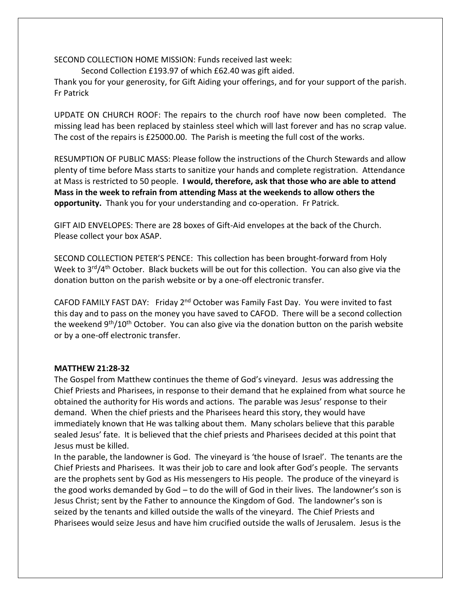SECOND COLLECTION HOME MISSION: Funds received last week:

Second Collection £193.97 of which £62.40 was gift aided.

Thank you for your generosity, for Gift Aiding your offerings, and for your support of the parish. Fr Patrick

UPDATE ON CHURCH ROOF: The repairs to the church roof have now been completed. The missing lead has been replaced by stainless steel which will last forever and has no scrap value. The cost of the repairs is £25000.00. The Parish is meeting the full cost of the works.

RESUMPTION OF PUBLIC MASS: Please follow the instructions of the Church Stewards and allow plenty of time before Mass starts to sanitize your hands and complete registration. Attendance at Mass is restricted to 50 people. **I would, therefore, ask that those who are able to attend Mass in the week to refrain from attending Mass at the weekends to allow others the opportunity.** Thank you for your understanding and co-operation. Fr Patrick.

GIFT AID ENVELOPES: There are 28 boxes of Gift-Aid envelopes at the back of the Church. Please collect your box ASAP.

SECOND COLLECTION PETER'S PENCE: This collection has been brought-forward from Holy Week to  $3<sup>rd</sup>/4<sup>th</sup>$  October. Black buckets will be out for this collection. You can also give via the donation button on the parish website or by a one-off electronic transfer.

CAFOD FAMILY FAST DAY: Friday 2<sup>nd</sup> October was Family Fast Day. You were invited to fast this day and to pass on the money you have saved to CAFOD. There will be a second collection the weekend 9<sup>th</sup>/10<sup>th</sup> October. You can also give via the donation button on the parish website or by a one-off electronic transfer.

### **MATTHEW 21:28-32**

The Gospel from Matthew continues the theme of God's vineyard. Jesus was addressing the Chief Priests and Pharisees, in response to their demand that he explained from what source he obtained the authority for His words and actions. The parable was Jesus' response to their demand. When the chief priests and the Pharisees heard this story, they would have immediately known that He was talking about them. Many scholars believe that this parable sealed Jesus' fate. It is believed that the chief priests and Pharisees decided at this point that Jesus must be killed.

In the parable, the landowner is God. The vineyard is 'the house of Israel'. The tenants are the Chief Priests and Pharisees. It was their job to care and look after God's people. The servants are the prophets sent by God as His messengers to His people. The produce of the vineyard is the good works demanded by God – to do the will of God in their lives. The landowner's son is Jesus Christ; sent by the Father to announce the Kingdom of God. The landowner's son is seized by the tenants and killed outside the walls of the vineyard. The Chief Priests and Pharisees would seize Jesus and have him crucified outside the walls of Jerusalem. Jesus is the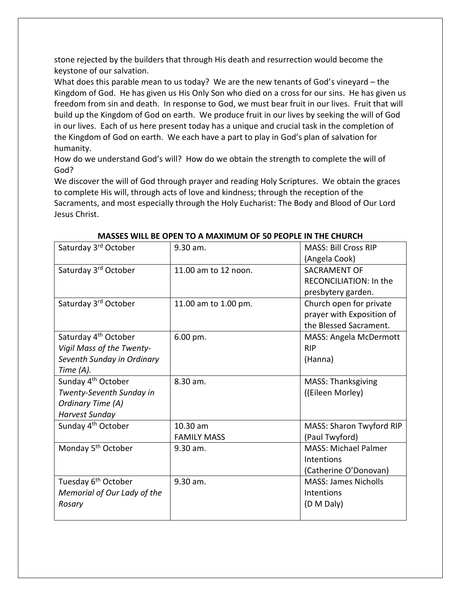stone rejected by the builders that through His death and resurrection would become the keystone of our salvation.

What does this parable mean to us today? We are the new tenants of God's vineyard – the Kingdom of God. He has given us His Only Son who died on a cross for our sins. He has given us freedom from sin and death. In response to God, we must bear fruit in our lives. Fruit that will build up the Kingdom of God on earth. We produce fruit in our lives by seeking the will of God in our lives. Each of us here present today has a unique and crucial task in the completion of the Kingdom of God on earth. We each have a part to play in God's plan of salvation for humanity.

How do we understand God's will? How do we obtain the strength to complete the will of God?

We discover the will of God through prayer and reading Holy Scriptures. We obtain the graces to complete His will, through acts of love and kindness; through the reception of the Sacraments, and most especially through the Holy Eucharist: The Body and Blood of Our Lord Jesus Christ.

| Saturday 3rd October                           | 9.30 am.             | <b>MASS: Bill Cross RIP</b>                                           |
|------------------------------------------------|----------------------|-----------------------------------------------------------------------|
| Saturday 3rd October                           | 11.00 am to 12 noon. | (Angela Cook)<br><b>SACRAMENT OF</b><br><b>RECONCILIATION: In the</b> |
|                                                |                      | presbytery garden.                                                    |
| Saturday 3rd October                           | 11.00 am to 1.00 pm. | Church open for private                                               |
|                                                |                      | prayer with Exposition of                                             |
|                                                |                      | the Blessed Sacrament.                                                |
| Saturday 4 <sup>th</sup> October               | 6.00 pm.             | MASS: Angela McDermott<br><b>RIP</b>                                  |
| Vigil Mass of the Twenty-                      |                      |                                                                       |
| Seventh Sunday in Ordinary                     |                      | (Hanna)                                                               |
| Time $(A)$ .<br>Sunday 4 <sup>th</sup> October | 8.30 am.             |                                                                       |
| Twenty-Seventh Sunday in                       |                      | <b>MASS: Thanksgiving</b><br>((Eileen Morley)                         |
| Ordinary Time (A)                              |                      |                                                                       |
| <b>Harvest Sunday</b>                          |                      |                                                                       |
| Sunday 4 <sup>th</sup> October                 | 10.30 am             | MASS: Sharon Twyford RIP                                              |
|                                                | <b>FAMILY MASS</b>   | (Paul Twyford)                                                        |
| Monday 5 <sup>th</sup> October                 | $9.30$ am.           | <b>MASS: Michael Palmer</b>                                           |
|                                                |                      | <b>Intentions</b>                                                     |
|                                                |                      | (Catherine O'Donovan)                                                 |
| Tuesday 6 <sup>th</sup> October                | 9.30 am.             | <b>MASS: James Nicholls</b>                                           |
| Memorial of Our Lady of the                    |                      | <b>Intentions</b>                                                     |
| Rosary                                         |                      | (D M Daly)                                                            |
|                                                |                      |                                                                       |

#### **MASSES WILL BE OPEN TO A MAXIMUM OF 50 PEOPLE IN THE CHURCH**